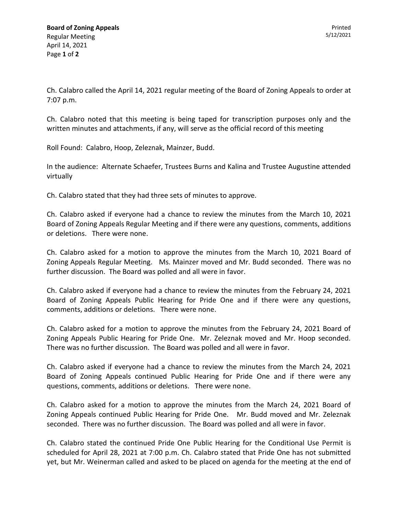Ch. Calabro called the April 14, 2021 regular meeting of the Board of Zoning Appeals to order at 7:07 p.m.

Ch. Calabro noted that this meeting is being taped for transcription purposes only and the written minutes and attachments, if any, will serve as the official record of this meeting

Roll Found: Calabro, Hoop, Zeleznak, Mainzer, Budd.

In the audience: Alternate Schaefer, Trustees Burns and Kalina and Trustee Augustine attended virtually

Ch. Calabro stated that they had three sets of minutes to approve.

Ch. Calabro asked if everyone had a chance to review the minutes from the March 10, 2021 Board of Zoning Appeals Regular Meeting and if there were any questions, comments, additions or deletions. There were none.

Ch. Calabro asked for a motion to approve the minutes from the March 10, 2021 Board of Zoning Appeals Regular Meeting. Ms. Mainzer moved and Mr. Budd seconded. There was no further discussion. The Board was polled and all were in favor.

Ch. Calabro asked if everyone had a chance to review the minutes from the February 24, 2021 Board of Zoning Appeals Public Hearing for Pride One and if there were any questions, comments, additions or deletions. There were none.

Ch. Calabro asked for a motion to approve the minutes from the February 24, 2021 Board of Zoning Appeals Public Hearing for Pride One. Mr. Zeleznak moved and Mr. Hoop seconded. There was no further discussion. The Board was polled and all were in favor.

Ch. Calabro asked if everyone had a chance to review the minutes from the March 24, 2021 Board of Zoning Appeals continued Public Hearing for Pride One and if there were any questions, comments, additions or deletions. There were none.

Ch. Calabro asked for a motion to approve the minutes from the March 24, 2021 Board of Zoning Appeals continued Public Hearing for Pride One. Mr. Budd moved and Mr. Zeleznak seconded. There was no further discussion. The Board was polled and all were in favor.

Ch. Calabro stated the continued Pride One Public Hearing for the Conditional Use Permit is scheduled for April 28, 2021 at 7:00 p.m. Ch. Calabro stated that Pride One has not submitted yet, but Mr. Weinerman called and asked to be placed on agenda for the meeting at the end of